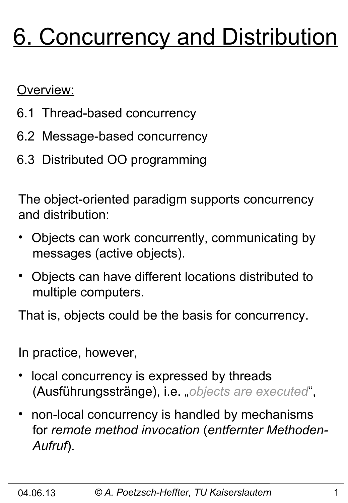# 6. Concurrency and Distribution

Overview:

- 6.1 Thread-based concurrency
- 6.2 Message-based concurrency
- 6.3 Distributed OO programming

The object-oriented paradigm supports concurrency and distribution:

- Objects can work concurrently, communicating by messages (active objects).
- Objects can have different locations distributed to multiple computers.

That is, objects could be the basis for concurrency.

In practice, however,

- local concurrency is expressed by threads (Ausführungsstränge), i.e. "*objects are executed*",
- non-local concurrency is handled by mechanisms for *remote method invocation* (*entfernter Methoden- Aufruf*).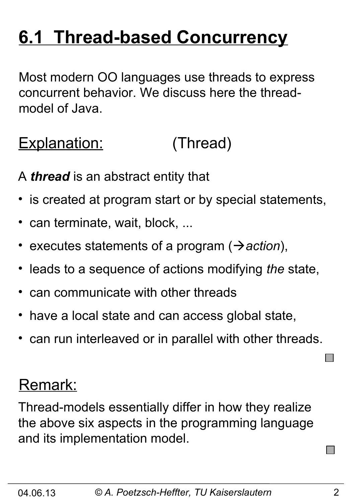# **6.1 Thread-based Concurrency**

Most modern OO languages use threads to express concurrent behavior. We discuss here the threadmodel of Java.

#### Explanation: (Thread)

A *thread* is an abstract entity that

- is created at program start or by special statements,
- can terminate, wait, block, ...
- executes statements of a program ( $\rightarrow$  *action*),
- leads to a sequence of actions modifying *the* state,
- can communicate with other threads
- have a local state and can access global state,
- can run interleaved or in parallel with other threads.

#### Remark:

Thread-models essentially differ in how they realize the above six aspects in the programming language and its implementation model.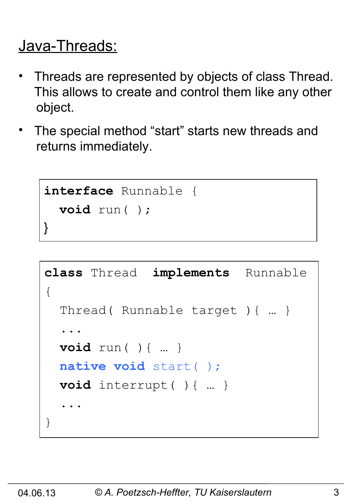#### Java-Threads:

- Threads are represented by objects of class Thread. This allows to create and control them like any other object.
- The special method "start" starts new threads and returns immediately.

```
interface Runnable {
   void run( );
}
```

```
class Thread implements Runnable
{
   Thread( Runnable target ){ … }
 ...
   void run( ){ … }
   native void start( );
   void interrupt( ){ … }
 ...
}
```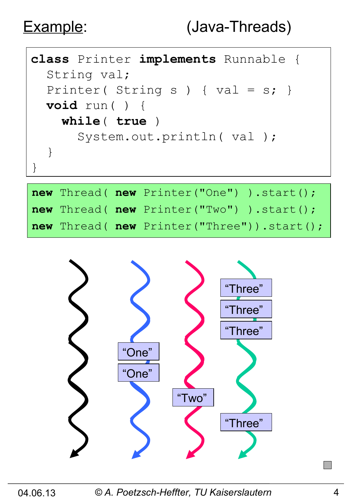

|  | <b>new</b> Thread( $new$ Printer("One") ).start(); |
|--|----------------------------------------------------|
|  | <b>new</b> Thread( $new$ Printer("Two") ).start(); |
|  | new Thread( new Printer("Three")).start();         |



04.06.13 *© A. Poetzsch-Heffter, TU Kaiserslautern* 4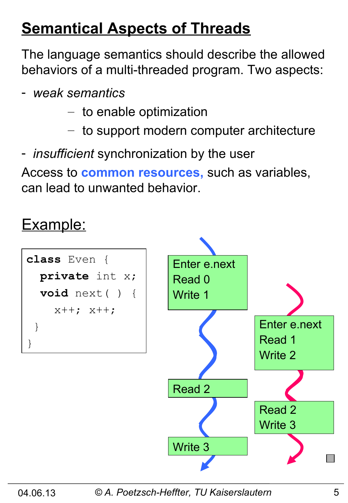## **Semantical Aspects of Threads**

The language semantics should describe the allowed behaviors of a multi-threaded program. Two aspects:

- *weak semantics*
	- to enable optimization
	- to support modern computer architecture
- *insufficient* synchronization by the user

Access to **common resources,** such as variables, can lead to unwanted behavior.

#### Example:

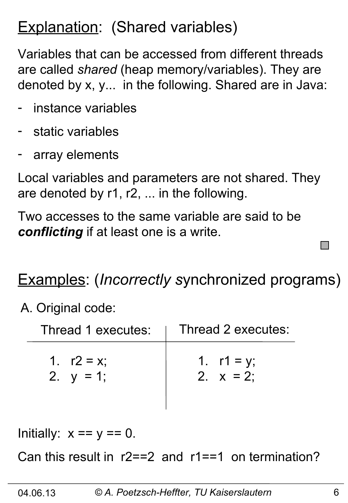### **Explanation: (Shared variables)**

Variables that can be accessed from different threads are called *shared* (heap memory/variables). They are denoted by x, y... in the following. Shared are in Java:

- instance variables
- static variables
- array elements

Local variables and parameters are not shared. They are denoted by r1, r2, ... in the following.

Two accesses to the same variable are said to be *conflicting* if at least one is a write.

#### Examples: (*Incorrectly s*ynchronized programs)

A. Original code:

| Thread 1 executes: | Thread 2 executes: |
|--------------------|--------------------|
| 1. $r2 = x$ ;      | 1. $r1 = y$ ;      |
| 2. $y = 1$ ;       | 2. $x = 2$ :       |

Initially:  $x == y == 0$ .

Can this result in r2==2 and r1==1 on termination?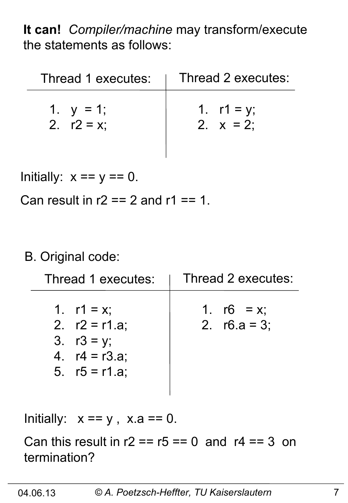**It can!** *Compiler/machine* may transform/execute the statements as follows:

| Thread 1 executes: | Thread 2 executes: |
|--------------------|--------------------|
| 1. $y = 1$ ;       | 1. $r1 = y$ ;      |
| 2. $r2 = x$        | 2. $x = 2$ :       |

Initially:  $x == y == 0$ .

Can result in  $r2 == 2$  and  $r1 == 1$ .

#### B. Original code:

| Thread 1 executes:                                                                      | Thread 2 executes:               |
|-----------------------------------------------------------------------------------------|----------------------------------|
| 1. $r1 = x$ ;<br>2. $r2 = r1.a;$<br>3. $r3 = y$ ;<br>4. $r4 = r3.a;$<br>5. $r5 = r1.a;$ | 1. $r6 = x$ ;<br>2. $r6.a = 3$ ; |

Initially:  $x == y$ ,  $x.a == 0$ .

Can this result in  $r2 = r5 == 0$  and  $r4 == 3$  on termination?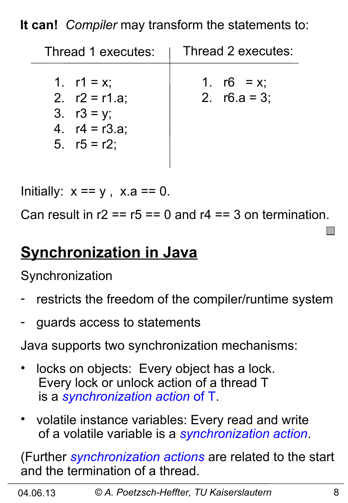**It can!** *Compiler* may transform the statements to:

| Thread 1 executes:                                                                     | Thread 2 executes:               |
|----------------------------------------------------------------------------------------|----------------------------------|
| 1. $r1 = x$ ;<br>2. $r2 = r1.a;$<br>3. $r3 = y$ ;<br>4. $r4 = r3.a;$<br>5. $r5 = r2$ ; | 1. $r6 = x$ ;<br>2. $r6.a = 3$ ; |

Initially:  $x == y$ ,  $x.a == 0$ .

Can result in  $r2 = r5 == 0$  and  $r4 == 3$  on termination.

#### **Synchronization in Java**

**Synchronization** 

- restricts the freedom of the compiler/runtime system
- guards access to statements

Java supports two synchronization mechanisms:

- locks on objects: Every object has a lock. Every lock or unlock action of a thread T is a *synchronization action* of T.
- volatile instance variables: Every read and write of a volatile variable is a *synchronization action*.

(Further *synchronization actions* are related to the start and the termination of a thread.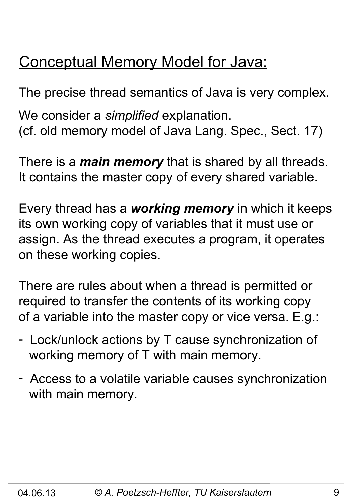### Conceptual Memory Model for Java:

The precise thread semantics of Java is very complex. We consider a *simplified* explanation. (cf. old memory model of Java Lang. Spec., Sect. 17)

There is a *main memory* that is shared by all threads. It contains the master copy of every shared variable.

Every thread has a *working memory* in which it keeps its own working copy of variables that it must use or assign. As the thread executes a program, it operates on these working copies.

There are rules about when a thread is permitted or required to transfer the contents of its working copy of a variable into the master copy or vice versa. E.g.:

- Lock/unlock actions by T cause synchronization of working memory of T with main memory.
- Access to a volatile variable causes synchronization with main memory.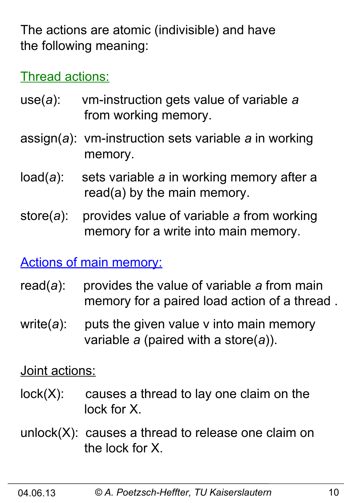The actions are atomic (indivisible) and have the following meaning:

Thread actions:

- use(*a*): vm-instruction gets value of variable *a* from working memory.
- assign(*a*): vm-instruction sets variable *a* in working memory.
- load(*a*): sets variable *a* in working memory after a read(a) by the main memory.
- store(*a*): provides value of variable *a* from working memory for a write into main memory.

Actions of main memory:

- read(*a*): provides the value of variable *a* from main memory for a paired load action of a thread .
- write(*a*): puts the given value v into main memory variable *a* (paired with a store(*a*)).

Joint actions:

- $lock(X)$ : causes a thread to lay one claim on the lock for X.
- unlock(X): causes a thread to release one claim on the lock for X.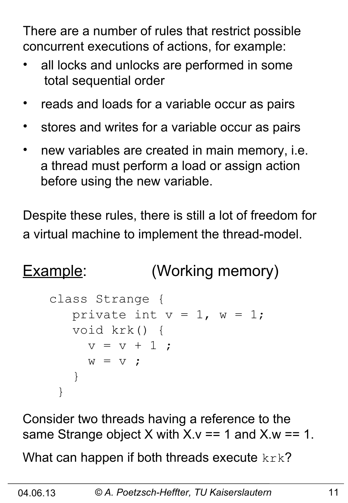There are a number of rules that restrict possible concurrent executions of actions, for example:

- all locks and unlocks are performed in some total sequential order
- reads and loads for a variable occur as pairs
- stores and writes for a variable occur as pairs
- new variables are created in main memory, i.e. a thread must perform a load or assign action before using the new variable.

Despite these rules, there is still a lot of freedom for a virtual machine to implement the thread-model.

# Example: (Working memory)

```
class Strange {
   private int v = 1, w = 1;
    void krk() { 
     v = v + 1 ;
     W = V ;
    }
 }
```
Consider two threads having a reference to the same Strange object X with  $X \vee Y = 1$  and  $X \vee Y = 1$ .

What can happen if both threads execute  $k r k$ ?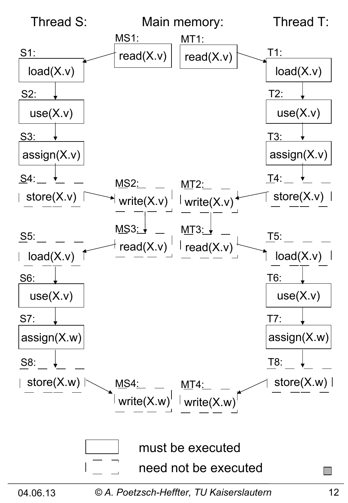

04.06.13 *© A. Poetzsch-Heffter, TU Kaiserslautern* 12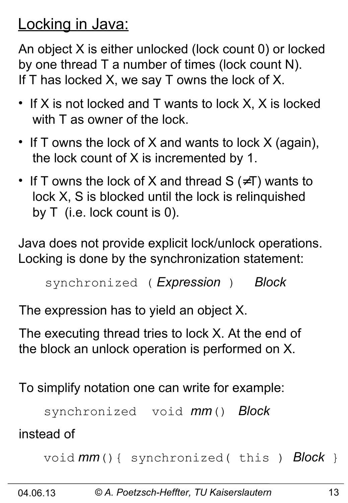#### Locking in Java:

An object X is either unlocked (lock count 0) or locked by one thread T a number of times (lock count N). If T has locked X, we say T owns the lock of X.

- If X is not locked and T wants to lock X, X is locked with T as owner of the lock.
- If T owns the lock of X and wants to lock X (again), the lock count of X is incremented by 1.
- If T owns the lock of X and thread  $S$  ( $\neq$ T) wants to lock X, S is blocked until the lock is relinquished by T (i.e. lock count is 0).

Java does not provide explicit lock/unlock operations. Locking is done by the synchronization statement:

```
synchronized ( Expression ) Block
```
The expression has to yield an object X.

The executing thread tries to lock X. At the end of the block an unlock operation is performed on X.

To simplify notation one can write for example:

```
 synchronized void mm() Block
```
instead of

```
 void mm(){ synchronized( this ) Block }
```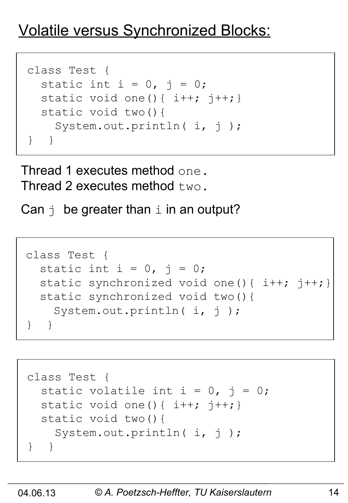## Volatile versus Synchronized Blocks:

```
class Test {
  static int i = 0, j = 0;static void one(){ i++; j++) static void two(){
   System.out.println( i, j);
} }
```
Thread 1 executes method one. Thread 2 executes method  $t_{WQ}$ .

Can  $\vdash$  be greater than  $\bot$  in an output?

```
class Test {
  static int i = 0, j = 0;static synchronized void one(){ i++; j++) static synchronized void two(){
    System.out.println( i, j);
} }
```

```
class Test {
  static volatile int i = 0, j = 0;
 static void one(){ i++; j++) static void two(){
   System.out.println( i, j);
} }
```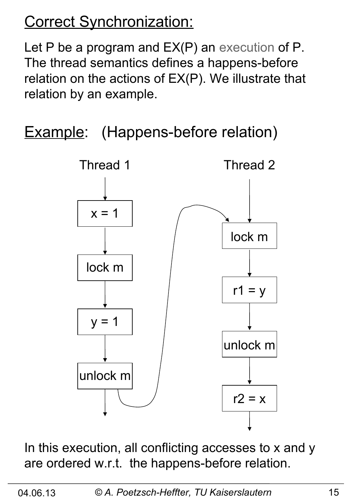# Correct Synchronization:

Let P be a program and  $EX(P)$  an execution of P. The thread semantics defines a happens-before relation on the actions of EX(P). We illustrate that relation by an example.

**Example:** (Happens-before relation)



In this execution, all conflicting accesses to x and y are ordered w.r.t. the happens-before relation.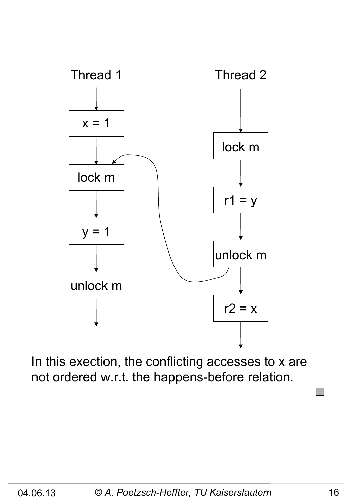

In this exection, the conflicting accesses to x are not ordered w.r.t. the happens-before relation.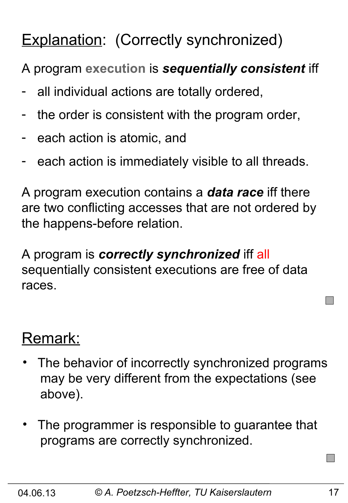# Explanation: (Correctly synchronized)

A program **execution** is *sequentially consistent* iff

- all individual actions are totally ordered,
- the order is consistent with the program order,
- each action is atomic, and
- each action is immediately visible to all threads.

A program execution contains a *data race* iff there are two conflicting accesses that are not ordered by the happens-before relation.

A program is *correctly synchronized* iff all sequentially consistent executions are free of data races.

#### Remark:

- The behavior of incorrectly synchronized programs may be very different from the expectations (see above).
- The programmer is responsible to guarantee that programs are correctly synchronized.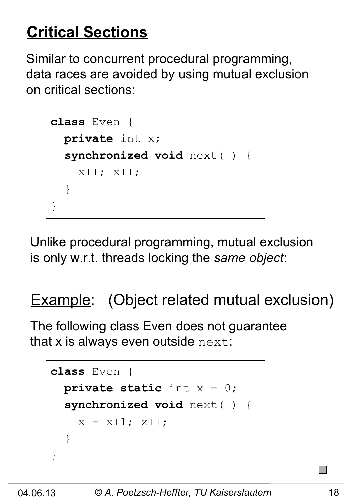# **Critical Sections**

Similar to concurrent procedural programming, data races are avoided by using mutual exclusion on critical sections:

```
class Even {
   private int x;
   synchronized void next( ) { 
    x++; x++; }
}
```
Unlike procedural programming, mutual exclusion is only w.r.t. threads locking the *same object*:

## **Example:** (Object related mutual exclusion)

The following class Even does not guarantee that  $x$  is always even outside  $next$ :

```
class Even {
   private static int x = 0;
   synchronized void next( ) { 
    x = x+1; x++; }
}
```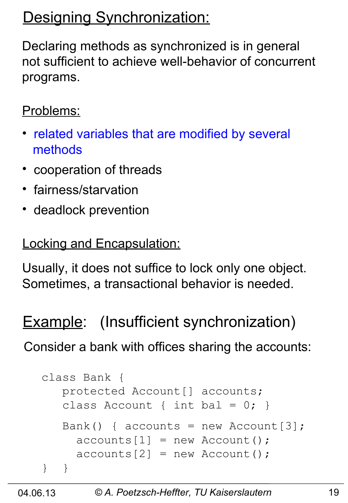# Designing Synchronization:

Declaring methods as synchronized is in general not sufficient to achieve well-behavior of concurrent programs.

#### Problems:

- related variables that are modified by several methods
- cooperation of threads
- fairness/starvation
- deadlock prevention

#### Locking and Encapsulation:

Usually, it does not suffice to lock only one object. Sometimes, a transactional behavior is needed.

#### **Example:** (Insufficient synchronization)

Consider a bank with offices sharing the accounts:

```
class Bank {
    protected Account[] accounts; 
   class Account { int bal = 0; }
   Bank() { accounts = new Account[3];
     acccounts[1] = new Account();
     acccounts[2] = new Account();
} }
```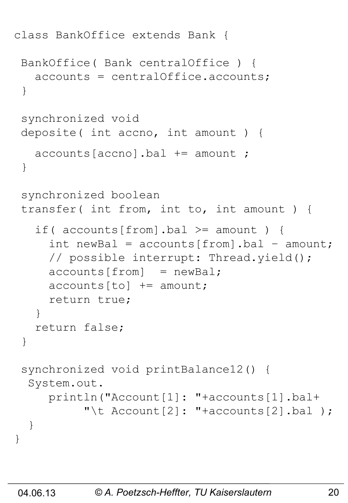```
class BankOffice extends Bank {
 BankOffice( Bank centralOffice ) {
    accounts = centralOffice.accounts;
 }
 synchronized void 
 deposite( int accno, int amount ) {
    accounts[accno].bal += amount ; 
 }
 synchronized boolean
 transfer( int from, int to, int amount ) {
   if( accounts[from].bal >= amount) {
     int newBal = accounds[from] .bal - amount; // possible interrupt: Thread.yield();
     acccounts[from] = newBal;acccounts[to] += amount; return true;
    }
    return false;
 }
 synchronized void printBalance12() {
   System.out.
      println("Account[1]: "+accounts[1].bal+
          "\t Account [2]: "+accounts [2].bal );
   }
}
```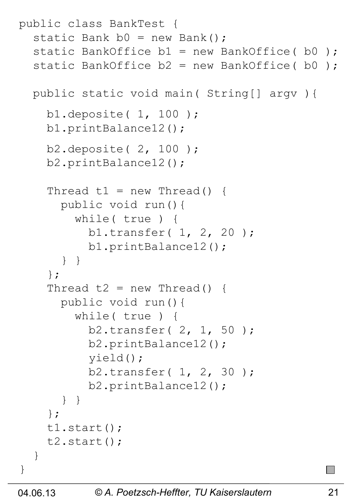```
public class BankTest {
  static Bank b0 = new Bank();
  static BankOffice b1 = new BankOffice( b0 );
  static BankOffice b2 = new BankOffice( b0); public static void main( String[] argv ){ 
     b1.deposite( 1, 100 );
     b1.printBalance12();
     b2.deposite( 2, 100 );
     b2.printBalance12();
    Thread t1 = new Thread() {
       public void run(){
         while( true ) {
           b1.transfer( 1, 2, 20 );
           b1.printBalance12();
       } }
     };
    Thread t2 = new Thread() {
       public void run(){
         while( true ) {
           b2.transfer( 2, 1, 50 );
           b2.printBalance12();
           yield();
           b2.transfer( 1, 2, 30 );
           b2.printBalance12();
       } } 
     };
     t1.start();
     t2.start();
   }
}
```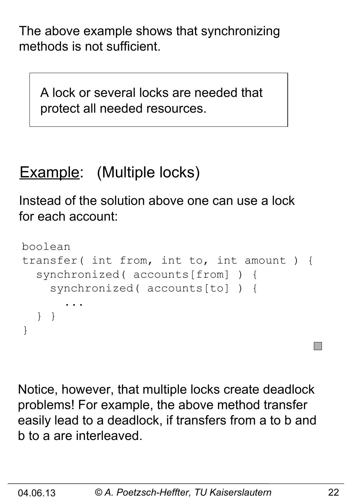The above example shows that synchronizing methods is not sufficient.

 A lock or several locks are needed that protect all needed resources.

# Example: (Multiple locks)

Instead of the solution above one can use a lock for each account:

```
boolean 
transfer( int from, int to, int amount ) {
   synchronized( accounts[from] ) {
     synchronized( accounts[to] ) {
 ...
   } }
}
```
Notice, however, that multiple locks create deadlock problems! For example, the above method transfer easily lead to a deadlock, if transfers from a to b and b to a are interleaved.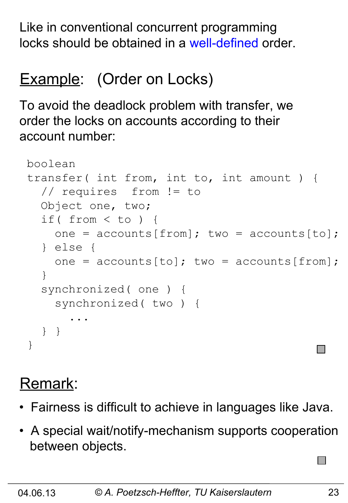Like in conventional concurrent programming locks should be obtained in a well-defined order.

# Example: (Order on Locks)

To avoid the deadlock problem with transfer, we order the locks on accounts according to their account number:

```
boolean 
transfer( int from, int to, int amount ) {
   // requires from != to
   Object one, two;
   if( from < to ) {
    one = accounds[from]; two = accounds[to];
   } else {
    one = accounts[to]; two = accounts[from]; }
   synchronized( one ) {
     synchronized( two ) {
 ...
   } }
}
```
# Remark:

- Fairness is difficult to achieve in languages like Java.
- A special wait/notify-mechanism supports cooperation between objects.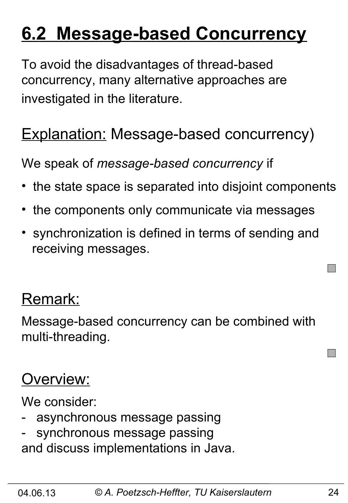# **6.2 Message-based Concurrency**

To avoid the disadvantages of thread-based concurrency, many alternative approaches are investigated in the literature.

# **Explanation: Message-based concurrency)**

We speak of *message-based concurrency* if

- the state space is separated into disjoint components
- the components only communicate via messages
- synchronization is defined in terms of sending and receiving messages.

#### Remark:

Message-based concurrency can be combined with multi-threading.

#### Overview:

We consider:

- asynchronous message passing
- synchronous message passing and discuss implementations in Java.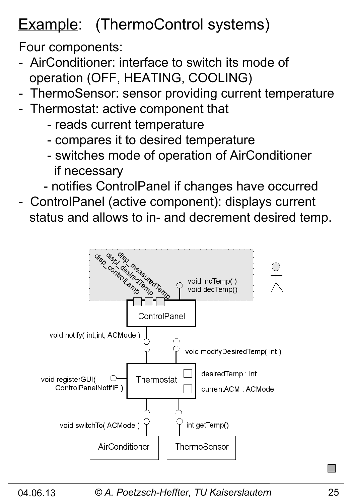# Example: (ThermoControl systems)

Four components:

- AirConditioner: interface to switch its mode of operation (OFF, HEATING, COOLING)
- ThermoSensor: sensor providing current temperature
- Thermostat: active component that
	- reads current temperature
	- compares it to desired temperature
	- switches mode of operation of AirConditioner if necessary
	- notifies ControlPanel if changes have occurred
- ControlPanel (active component): displays current status and allows to in- and decrement desired temp.

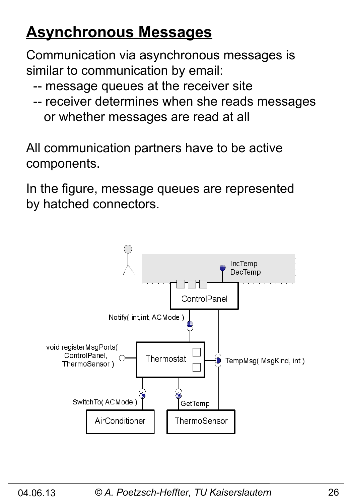# **Asynchronous Messages**

Communication via asynchronous messages is similar to communication by email:

- -- message queues at the receiver site
- -- receiver determines when she reads messages or whether messages are read at all

All communication partners have to be active components.

In the figure, message queues are represented by hatched connectors.

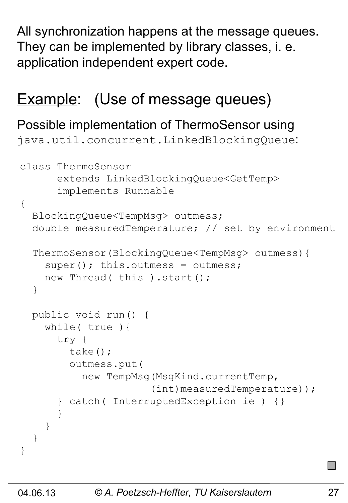All synchronization happens at the message queues. They can be implemented by library classes, i. e. application independent expert code.

#### **Example:** (Use of message queues)

#### Possible implementation of ThermoSensor using

java.util.concurrent.LinkedBlockingQueue:

```
class ThermoSensor 
       extends LinkedBlockingQueue<GetTemp> 
       implements Runnable
{
   BlockingQueue<TempMsg> outmess; 
   double measuredTemperature; // set by environment 
   ThermoSensor(BlockingQueue<TempMsg> outmess){
    super(); this.outmess = outmess;
    new Thread( this ).start();
   }
   public void run() {
     while( true ){
       try {
         take();
         outmess.put( 
           new TempMsg(MsgKind.currentTemp,
                        (int)measuredTemperature));
       } catch( InterruptedException ie ) {}
 }
     }
   }
}
```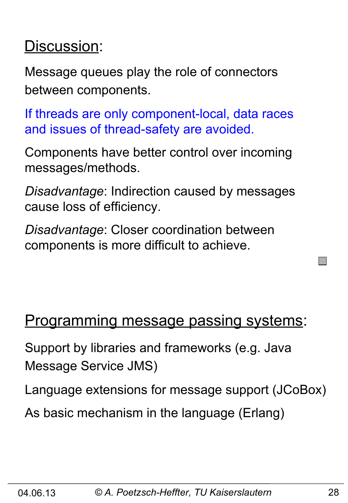#### Discussion:

Message queues play the role of connectors between components.

If threads are only component-local, data races and issues of thread-safety are avoided.

Components have better control over incoming messages/methods.

*Disadvantage*: Indirection caused by messages cause loss of efficiency.

*Disadvantage*: Closer coordination between components is more difficult to achieve.

#### Programming message passing systems:

Support by libraries and frameworks (e.g. Java Message Service JMS)

Language extensions for message support (JCoBox)

As basic mechanism in the language (Erlang)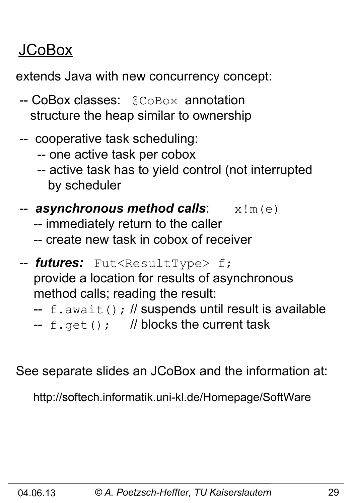# JCoBox

extends Java with new concurrency concept:

- -- CoBox classes: @CoBox annotation structure the heap similar to ownership
- -- cooperative task scheduling:
	- -- one active task per cobox
	- -- active task has to yield control (not interrupted by scheduler
- -- **asynchronous method calls**:  $x \,$ !m(e)
	- -- immediately return to the caller
	- -- create new task in cobox of receiver
- -- *futures:* Fut<ResultType> f; provide a location for results of asynchronous method calls; reading the result:
	- $-$  f.await(); // suspends until result is available
	- --  $f.get()$ ; // blocks the current task

See separate slides an JCoBox and the information at:

http://softech.informatik.uni-kl.de/Homepage/SoftWare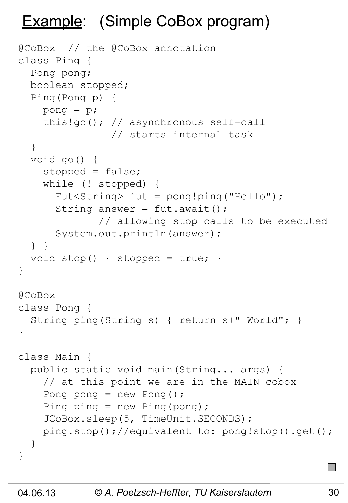# Example: (Simple CoBox program)

```
@CoBox // the @CoBox annotation 
class Ping {
   Pong pong;
   boolean stopped;
   Ping(Pong p) {
     pong = p;
     this!go(); // asynchronous self-call
                 // starts internal task
   }
   void go() {
     stopped = false;
     while (! stopped) {
       Fut<String> fut = pong!ping("Hello"); 
      String answer = fut.awt();
               // allowing stop calls to be executed 
       System.out.println(answer);
   } }
  void stop() { stopped = true; }
}
@CoBox 
class Pong {
   String ping(String s) { return s+" World"; }
}
class Main {
   public static void main(String... args) {
     // at this point we are in the MAIN cobox
    Pong pong = new Pong();
    Ping ping = new Ping(pong);
     JCoBox.sleep(5, TimeUnit.SECONDS);
     ping.stop();//equivalent to: pong!stop().get();
   }
}
```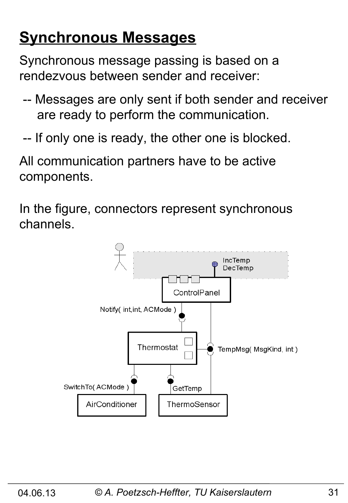# **Synchronous Messages**

Synchronous message passing is based on a rendezvous between sender and receiver:

- -- Messages are only sent if both sender and receiver are ready to perform the communication.
- -- If only one is ready, the other one is blocked.

All communication partners have to be active components.

In the figure, connectors represent synchronous channels.

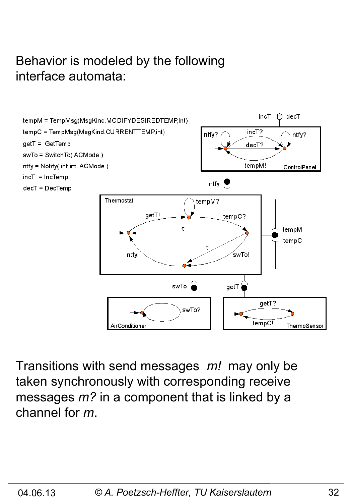#### Behavior is modeled by the following interface automata:



Transitions with send messages *m!* may only be taken synchronously with corresponding receive messages *m?* in a component that is linked by a channel for *m*.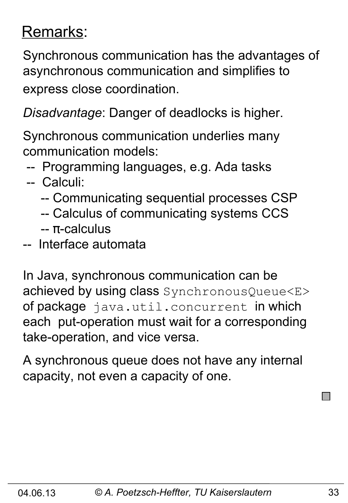## Remarks:

Synchronous communication has the advantages of asynchronous communication and simplifies to express close coordination.

*Disadvantage*: Danger of deadlocks is higher.

Synchronous communication underlies many communication models:

-- Programming languages, e.g. Ada tasks

#### -- Calculi:

- -- Communicating sequential processes CSP
- -- Calculus of communicating systems CCS
- -- π-calculus
- -- Interface automata

In Java, synchronous communication can be achieved by using class SynchronousQueue<E> of package java.util.concurrent in which each put-operation must wait for a corresponding take-operation, and vice versa.

A synchronous queue does not have any internal capacity, not even a capacity of one.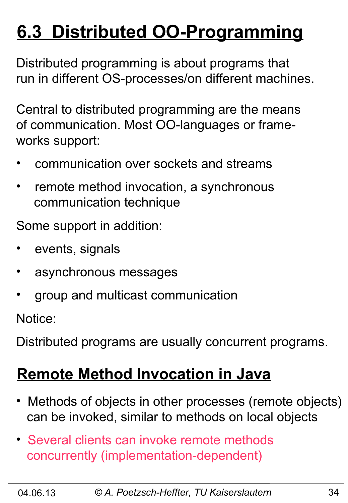# **6.3 Distributed OO-Programming**

Distributed programming is about programs that run in different OS-processes/on different machines.

Central to distributed programming are the means of communication. Most OO-languages or frameworks support:

- communication over sockets and streams
- remote method invocation, a synchronous communication technique

Some support in addition:

- events, signals
- asynchronous messages
- group and multicast communication

Notice:

Distributed programs are usually concurrent programs.

#### **Remote Method Invocation in Java**

- Methods of objects in other processes (remote objects) can be invoked, similar to methods on local objects
- Several clients can invoke remote methods concurrently (implementation-dependent)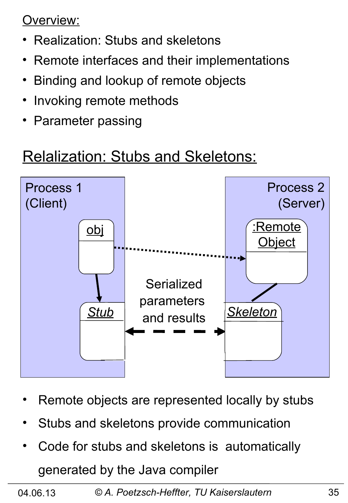Overview:

- Realization: Stubs and skeletons
- Remote interfaces and their implementations
- Binding and lookup of remote objects
- Invoking remote methods
- Parameter passing

#### Relalization: Stubs and Skeletons:



- Remote objects are represented locally by stubs
- Stubs and skeletons provide communication
- Code for stubs and skeletons is automatically generated by the Java compiler

04.06.13 *© A. Poetzsch-Heffter, TU Kaiserslautern* 35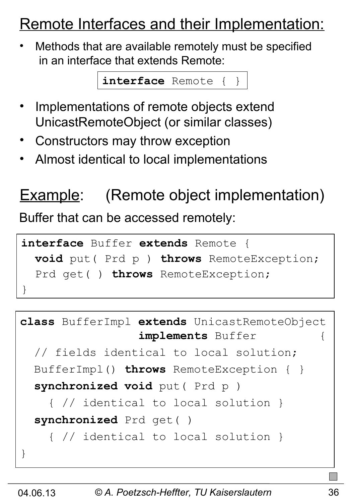#### Remote Interfaces and their Implementation:

• Methods that are available remotely must be specified in an interface that extends Remote:

**interface** Remote { }

- Implementations of remote objects extend UnicastRemoteObject (or similar classes)
- Constructors may throw exception
- Almost identical to local implementations

#### **Example:** (Remote object implementation)

Buffer that can be accessed remotely:

```
interface Buffer extends Remote {
   void put( Prd p ) throws RemoteException;
   Prd get( ) throws RemoteException;
}
```

```
class BufferImpl extends UnicastRemoteObject 
                  implements Buffer {
   // fields identical to local solution;
   BufferImpl() throws RemoteException { }
   synchronized void put( Prd p ) 
     { // identical to local solution }
   synchronized Prd get( ) 
     { // identical to local solution }
}
```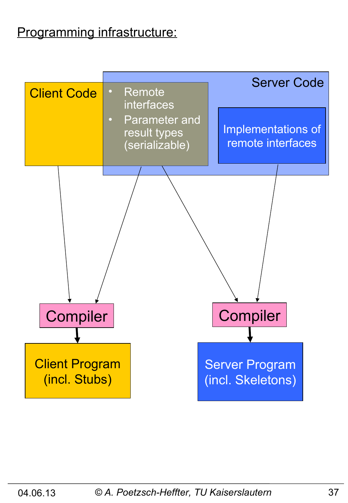#### Programming infrastructure:

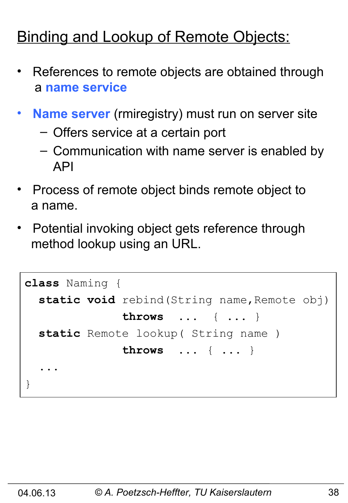# **Binding and Lookup of Remote Objects:**

- References to remote objects are obtained through a **name service**
- **Name server** (rmiregistry) must run on server site
	- Offers service at a certain port
	- Communication with name server is enabled by API
- Process of remote object binds remote object to a name.
- Potential invoking object gets reference through method lookup using an URL.

```
class Naming {
  static void rebind (String name, Remote obj)
               throws ... { ... }
   static Remote lookup( String name )
               throws ... { ... }
 ...
}
```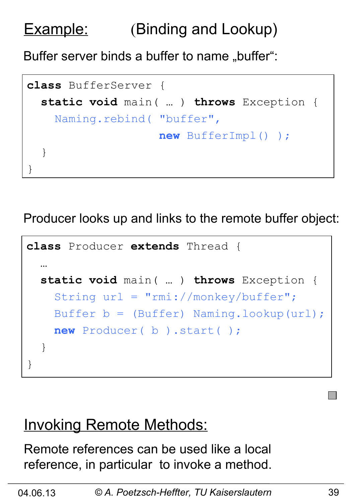# Example: (Binding and Lookup)

Buffer server binds a buffer to name "buffer":

```
class BufferServer {
   static void main( … ) throws Exception {
     Naming.rebind( "buffer",
                     new BufferImpl() );
   }
}
```
Producer looks up and links to the remote buffer object:

```
class Producer extends Thread {
 …
   static void main( … ) throws Exception {
     String url = "rmi://monkey/buffer";
     Buffer b = (Buffer) Naming.lookup(url);
     new Producer( b ).start( );
   }
}
```
#### **Invoking Remote Methods:**

Remote references can be used like a local reference, in particular to invoke a method.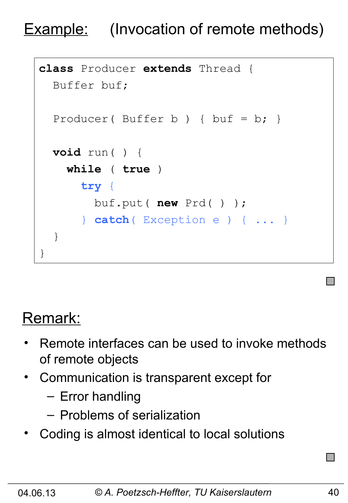### **Example:** (Invocation of remote methods)

```
class Producer extends Thread {
   Buffer buf;
  Producer( Buffer b ) { but = b; }
   void run( ) {
     while ( true )
       try {
         buf.put( new Prd( ) ); 
       } catch( Exception e ) { ... }
   }
}
```
#### Remark:

- Remote interfaces can be used to invoke methods of remote objects
- Communication is transparent except for
	- Error handling
	- Problems of serialization
- Coding is almost identical to local solutions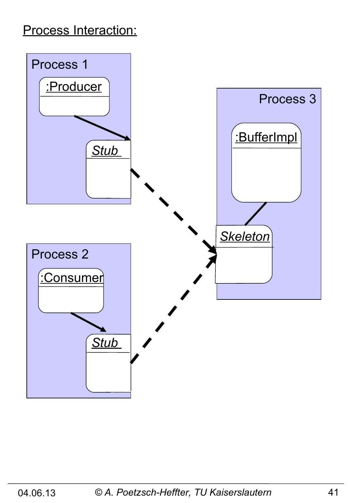#### Process Interaction:

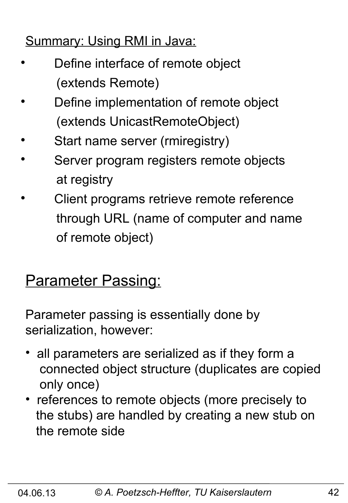#### Summary: Using RMI in Java:

- Define interface of remote object (extends Remote)
- Define implementation of remote object (extends UnicastRemoteObject)
- Start name server (rmiregistry)
- Server program registers remote objects at registry
- Client programs retrieve remote reference through URL (name of computer and name of remote object)

#### **Parameter Passing:**

Parameter passing is essentially done by serialization, however:

- all parameters are serialized as if they form a connected object structure (duplicates are copied only once)
- references to remote objects (more precisely to the stubs) are handled by creating a new stub on the remote side